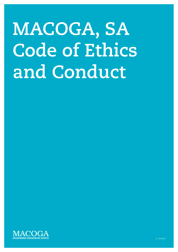# **MACOGA, SA Code of Ethics and Conduct**

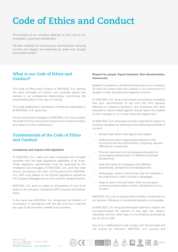# **Code of Ethics and Conduct**

The success of our company depends on the trust of our employees, customers and partners.

We earn credibility by honouring our commitments, showing honesty and integrity and achieving our goals only through honourable conduct.

# **What is our Code of Ethics and Conduct?**

The Code of Ethics and Conduct of MACOGA, S.A. defines the basic principles of conduct and corporate values that operate in our professional relationships, constituting the fundamental pillars of our way of working.

This code establishes a framework of behaviour applicable to all MACOGA, S.A. personnel.

All the workers and managers of MACOGA, S.A. must respect the Code of Ethics and Conduct and promote its dissemination and respect by their collaborators.

### **Fundamentals of the Code of Ethics and Conduct**

#### **Compliance and respect with legislation**

At MACOGA, S.A., each and every employee and manager complies with the legal regulations applicable at all times. These regulatory requirements must be respected by the employees and managers of MACOGA, S.A., and they shall ensure compliance with them. At the same time, MACOGA, S.A. staff must adhere to the internal regulations agreed by the Company Management and the workers' representatives.

MACOGA, S.A. aims to create an atmosphere of trust at all levels of the company, inviting all staff to express themselves freely.

In the same way MACOGA, S.A. recognises the freedom of unionisation in accordance with the law and not to practice any type of discrimination related to its activities.

#### **Respect for people. Equal treatment. Non-discrimination. Harassment**

Respect for people is a fundamental principle of our company. All staff will ensure that every person in our environment is treated in a fair, equitable and respectful manner.

At MACOGA, S.A. we are committed to providing a workplace free from discrimination of any kind and from abusive, offensive or harassing behaviour. Any employee who feels harassed or discriminated against should report the incident to their manager or our human resources department.

All MACOGA, S.A. employees are also expected to support an inclusive workplace by adhering to the following standards of conduct:

- Always treat others with dignity and respect.
- Address and report inappropriate behaviour and comments that are discriminatory, harassing, abusive, offensive or unwelcome.
- Promote teamwork and employee participation by encouraging representation of different employee perspectives.
- Seek the views of employees with different experiences, perspectives and backgrounds.
- Avoid jargon, jokes or idioms that may not translate or be understood in other cultures or languages.
- Keep an open mind and listen when you are given constructive advice about others' perceptions of your conduct.

MACOGA, S.A. will not tolerate discrimination, harassment or any abusive, offensive or unwelcome behaviour or language.

At MACOGA, S.A. we guarantee equal treatment, respect and non-discrimination for reasons of race, age, sex, religion, nationality and any other type of circumstance protected by law for all our staff.

Any of our collaborators must comply with this principle and will ensure its fulfilment. MACOGA, S.A. pursues and

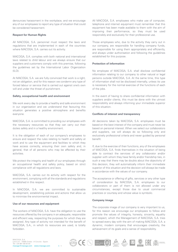denounces harassment in the workplace, and we encourage any of our employees to report any type of situation that could be considered harassment.

#### **Respect for Human Rights**

All MACOGA, S.A. personnel must respect the laws and regulations that are implemented in each of the countries where MACOGA, S.A. carries out its activity.

MACOGA, S.A. complies with both national and international laws related to child labour and we always ensure that our suppliers and customers comply with this premise, following the guidelines set by the International Labor Organization  $(ILO)$ .

At MACOGA, S.A. we are fully convinced that work is a right, not an obligation, and for this reason we condemn any type of forced labour or service that is carried out against one's own will and under the threat of punishment.

#### **Safety, occupational health and environment**

We work every day to provide a healthy and safe environment in our organisation and we understand that favouring this situation generates a positive atmosphere and benefits everyone.

MACOGA, S.A. is committed to providing our employees with the necessary resources so that they can carry out their duties safely and in a healthy environment.

It is the obligation of each of our company's employees to ensure and respect the rules relating to health and safety at work and to use the equipment and facilities to which they have access correctly, ensuring their own safety and, in general, that of all persons who may be affected by their activities.

We protect the integrity and health of our employees through an occupational health and safety policy, based on strict compliance with all regulations and laws.

MACOGA, S.A. carries out its activity with respect for the environment, complying with all the standards and regulations established in this respect.

In MACOGA, S.A. we are committed to sustainable development, establishing policies and actions that allow us to minimise the environmental impact.

#### **Use of our resources and equipment**

The workers of MACOGA, S.A. have the obligation to use the resources offered by the company in an adequate, responsible and efficient way, respecting the purposes for which they are assigned. Any type of activity not intended for the benefit of MACOGA, S.A., in which its resources are used, is totally forbidden.

All MACOGA, S.A. employees who make use of computer, telephone and internet equipment must remember that this equipment has been made available to them with the aim of improving their performance, so they must be used responsibly and exclusively for their professional use.

Those employees who, due to the activity they carry out in our company, are responsible for handling company funds, are responsible for using them appropriately and efficiently, and always under authorisation and following the guidelines established for this purpose.

#### **Protection of information**

No employee of MACOGA, S.A. shall disclose confidential information relating to our company to other natural or legal persons outside MACOGA, S.A. At the same time, this type of information shall not be disclosed internally, unless its use is necessary for the normal exercise of the functions of each of the jobs.

In the event of having to share confidential information with suppliers and/or clients, this must be done with the utmost responsibility and always informing your immediate superior of this situation.

#### **Conflicts of interest and transparency**

All decisions taken by MACOGA, S.A. employees must be based on the best interest of the company and must never be based on personal interest. When we select our collaborators and suppliers, we will always do so following only and exclusively professional criteria and never guided by personal benefit.

If, due to the exercise of their functions, any of the employees of MACOGA, S.A. finds themselves in the situation of being able to contract the services of any collaborator and/or supplier with whom they have family and/or friendship ties, in such a way that there may be doubts about the objectivity of this decision, they will automatically inform their immediate superior of this situation and the decision will always be made in accordance with the values of our company.

The acceptance or offering of gifts, services or any other type of consideration by MACOGA, S.A. employees to our collaborators or part of them is not allowed under any circumstances, except those due to usual commercial practices or courtesy and whose value is symbolic.

#### **Company image**

The corporate image of our company is very important to us, for this reason we encourage our employees to follow and promote the values of integrity, honesty, sincerity, equality and respect, which the Management of MACOGA, S.A. tries to spread every day with the aim of making MACOGA, S.A. a dynamic, modern company that encourages creativity, the achievement of its goals and a sense of responsibility.